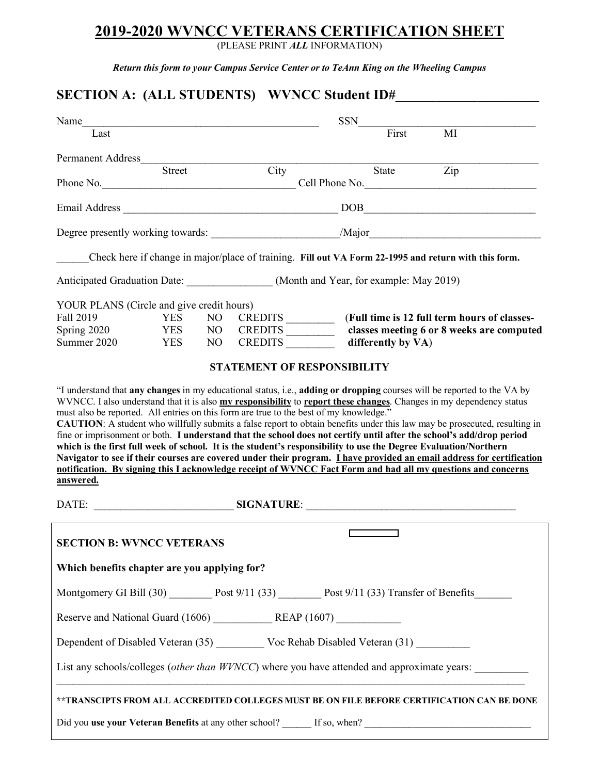# **2019-2020 WVNCC VETERANS CERTIFICATION SHEET**

(PLEASE PRINT *ALL* INFORMATION)

*Return this form to your Campus Service Center or to TeAnn King on the Wheeling Campus*

# **SECTION A: (ALL STUDENTS) WVNCC Student ID#**

| Name                                                                                                                                                                                                                                                                                                                                                                                                                                                                                                                                                                                                                                                                                                                                                                                                                                                |                                                                                                                      |    |                | SSN |                                              |                                    |  |
|-----------------------------------------------------------------------------------------------------------------------------------------------------------------------------------------------------------------------------------------------------------------------------------------------------------------------------------------------------------------------------------------------------------------------------------------------------------------------------------------------------------------------------------------------------------------------------------------------------------------------------------------------------------------------------------------------------------------------------------------------------------------------------------------------------------------------------------------------------|----------------------------------------------------------------------------------------------------------------------|----|----------------|-----|----------------------------------------------|------------------------------------|--|
| Last                                                                                                                                                                                                                                                                                                                                                                                                                                                                                                                                                                                                                                                                                                                                                                                                                                                |                                                                                                                      |    |                |     | First                                        | MI                                 |  |
| Permanent Address                                                                                                                                                                                                                                                                                                                                                                                                                                                                                                                                                                                                                                                                                                                                                                                                                                   | <u> 1989 - Jan James James James James James James James James James James James James James James James James J</u> |    |                |     |                                              |                                    |  |
| Phone No.                                                                                                                                                                                                                                                                                                                                                                                                                                                                                                                                                                                                                                                                                                                                                                                                                                           | Street                                                                                                               |    | City           |     | State                                        | $\overline{Zip}$<br>Cell Phone No. |  |
|                                                                                                                                                                                                                                                                                                                                                                                                                                                                                                                                                                                                                                                                                                                                                                                                                                                     |                                                                                                                      |    |                |     |                                              |                                    |  |
|                                                                                                                                                                                                                                                                                                                                                                                                                                                                                                                                                                                                                                                                                                                                                                                                                                                     |                                                                                                                      |    |                |     |                                              |                                    |  |
| Check here if change in major/place of training. Fill out VA Form 22-1995 and return with this form.                                                                                                                                                                                                                                                                                                                                                                                                                                                                                                                                                                                                                                                                                                                                                |                                                                                                                      |    |                |     |                                              |                                    |  |
| Anticipated Graduation Date: _________________(Month and Year, for example: May 2019)                                                                                                                                                                                                                                                                                                                                                                                                                                                                                                                                                                                                                                                                                                                                                               |                                                                                                                      |    |                |     |                                              |                                    |  |
| YOUR PLANS (Circle and give credit hours)                                                                                                                                                                                                                                                                                                                                                                                                                                                                                                                                                                                                                                                                                                                                                                                                           |                                                                                                                      |    |                |     |                                              |                                    |  |
| Fall 2019                                                                                                                                                                                                                                                                                                                                                                                                                                                                                                                                                                                                                                                                                                                                                                                                                                           | YES                                                                                                                  | NO | CREDITS        |     | (Full time is 12 full term hours of classes- |                                    |  |
| Spring 2020                                                                                                                                                                                                                                                                                                                                                                                                                                                                                                                                                                                                                                                                                                                                                                                                                                         | <b>YES</b>                                                                                                           | NO | CREDITS        |     | classes meeting 6 or 8 weeks are computed    |                                    |  |
| Summer 2020                                                                                                                                                                                                                                                                                                                                                                                                                                                                                                                                                                                                                                                                                                                                                                                                                                         | <b>YES</b>                                                                                                           | NO | <b>CREDITS</b> |     | differently by VA)                           |                                    |  |
| <b>STATEMENT OF RESPONSIBILITY</b>                                                                                                                                                                                                                                                                                                                                                                                                                                                                                                                                                                                                                                                                                                                                                                                                                  |                                                                                                                      |    |                |     |                                              |                                    |  |
| WVNCC. I also understand that it is also my responsibility to report these changes. Changes in my dependency status<br>must also be reported. All entries on this form are true to the best of my knowledge."<br><b>CAUTION:</b> A student who willfully submits a false report to obtain benefits under this law may be prosecuted, resulting in<br>fine or imprisonment or both. I understand that the school does not certify until after the school's add/drop period<br>which is the first full week of school. It is the student's responsibility to use the Degree Evaluation/Northern<br>Navigator to see if their courses are covered under their program. I have provided an email address for certification<br>notification. By signing this I acknowledge receipt of WVNCC Fact Form and had all my questions and concerns<br>answered. |                                                                                                                      |    |                |     |                                              |                                    |  |
|                                                                                                                                                                                                                                                                                                                                                                                                                                                                                                                                                                                                                                                                                                                                                                                                                                                     |                                                                                                                      |    |                |     |                                              |                                    |  |
| <b>SECTION B: WVNCC VETERANS</b>                                                                                                                                                                                                                                                                                                                                                                                                                                                                                                                                                                                                                                                                                                                                                                                                                    |                                                                                                                      |    |                |     |                                              |                                    |  |
| Which benefits chapter are you applying for?                                                                                                                                                                                                                                                                                                                                                                                                                                                                                                                                                                                                                                                                                                                                                                                                        |                                                                                                                      |    |                |     |                                              |                                    |  |
| Montgomery GI Bill (30) Post 9/11 (33) Post 9/11 (33) Transfer of Benefits                                                                                                                                                                                                                                                                                                                                                                                                                                                                                                                                                                                                                                                                                                                                                                          |                                                                                                                      |    |                |     |                                              |                                    |  |
|                                                                                                                                                                                                                                                                                                                                                                                                                                                                                                                                                                                                                                                                                                                                                                                                                                                     |                                                                                                                      |    |                |     |                                              |                                    |  |
| Dependent of Disabled Veteran (35) Voc Rehab Disabled Veteran (31) ________                                                                                                                                                                                                                                                                                                                                                                                                                                                                                                                                                                                                                                                                                                                                                                         |                                                                                                                      |    |                |     |                                              |                                    |  |
| List any schools/colleges ( <i>other than WVNCC</i> ) where you have attended and approximate years:                                                                                                                                                                                                                                                                                                                                                                                                                                                                                                                                                                                                                                                                                                                                                |                                                                                                                      |    |                |     |                                              |                                    |  |
| **TRANSCIPTS FROM ALL ACCREDITED COLLEGES MUST BE ON FILE BEFORE CERTIFICATION CAN BE DONE                                                                                                                                                                                                                                                                                                                                                                                                                                                                                                                                                                                                                                                                                                                                                          |                                                                                                                      |    |                |     |                                              |                                    |  |